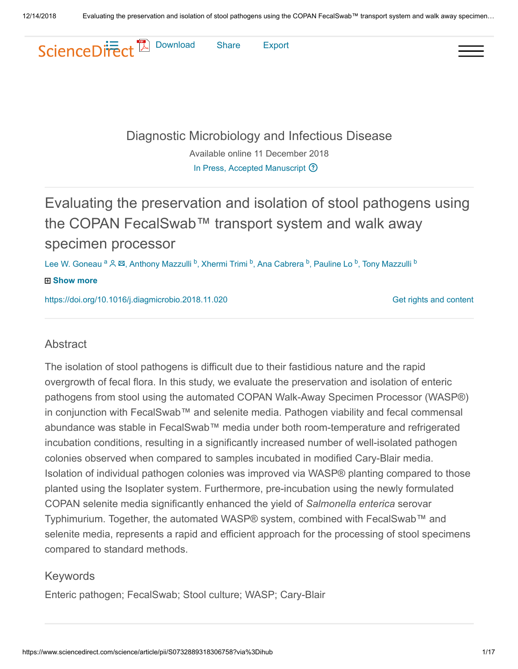

[Diagnostic Microbiology and Infectious Disease](https://www.sciencedirect.com/science/journal/07328893)

Available online 11 December 2018 [In Press, Accepted Manuscript](https://www.sciencedirect.com/science/journal/aip/07328893)  $\odot$ 

# Evaluating the preservation and isolation of stool pathogens using the COPAN FecalSwab™ transport system and walk away specimen processor

Lee W. Goneau <sup>a Q &</sup>, Anthony Mazzulli <sup>b</sup>, Xhermi Trimi <sup>b</sup>, Ana Cabrera <sup>b</sup>, Pauline Lo <sup>b</sup>, Tony Mazzulli <sup>b</sup>

#### **Show more**

<https://doi.org/10.1016/j.diagmicrobio.2018.11.020>

[Get rights and content](https://s100.copyright.com/AppDispatchServlet?publisherName=ELS&contentID=S0732889318306758&orderBeanReset=true)

#### Abstract

The isolation of stool pathogens is difficult due to their fastidious nature and the rapid overgrowth of fecal flora. In this study, we evaluate the preservation and isolation of enteric pathogens from stool using the automated COPAN Walk-Away Specimen Processor (WASP®) in conjunction with FecalSwab™ and selenite media. Pathogen viability and fecal commensal abundance was stable in FecalSwab™ media under both room-temperature and refrigerated incubation conditions, resulting in a significantly increased number of well-isolated pathogen colonies observed when compared to samples incubated in modified Cary-Blair media. Isolation of individual pathogen colonies was improved via WASP® planting compared to those planted using the Isoplater system. Furthermore, pre-incubation using the newly formulated COPAN selenite media significantly enhanced the yield of *Salmonella enterica* serovar Typhimurium. Together, the automated WASP® system, combined with FecalSwab™ and selenite media, represents a rapid and efficient approach for the processing of stool specimens compared to standard methods.

#### Keywords

Enteric pathogen; FecalSwab; Stool culture; WASP; Cary-Blair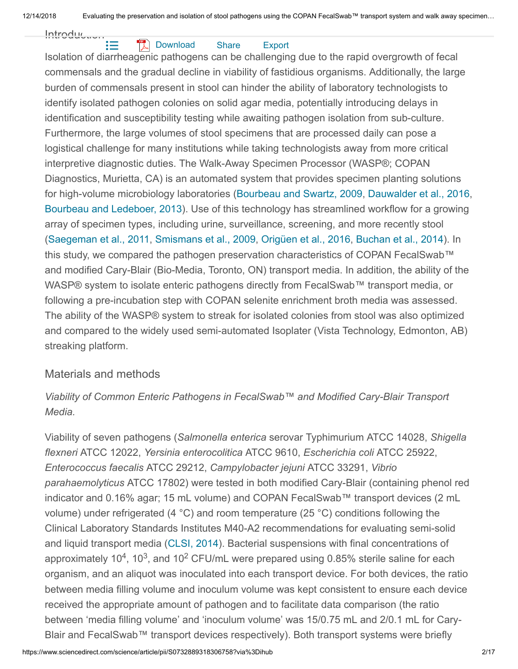<span id="page-1-4"></span><span id="page-1-1"></span>Introduction<br>IE: Isolation of diarrheagenic pathogens can be challenging due to the rapid overgrowth of fecal commensals and the gradual decline in viability of fastidious organisms. Additionally, the large burden of commensals present in stool can hinder the ability of laboratory technologists to identify isolated pathogen colonies on solid agar media, potentially introducing delays in identification and susceptibility testing while awaiting pathogen isolation from sub-culture. Furthermore, the large volumes of stool specimens that are processed daily can pose a logistical challenge for many institutions while taking technologists away from more critical interpretive diagnostic duties. The Walk-Away Specimen Processor (WASP®; COPAN Diagnostics, Murietta, CA) is an automated system that provides specimen planting solutions for high-volume microbiology laboratories (Bourbeau and Swartz, 2009, Dauwalder et al., 2016, Bourbeau and Ledeboer, 2013). Use of this technology has streamlined workflow for a growing array of specimen types, including urine, surveillance, screening, and more recently stool (Saegeman et al., 2011, Smismans et al., 2009, Origüen et al., 2016, Buchan et al., 2014). In this study, we compared the pathogen preservation characteristics of COPAN FecalSwab™ and modified Cary-Blair (Bio-Media, Toronto, ON) transport media. In addition, the ability of the WASP® system to isolate enteric pathogens directly from FecalSwab™ transport media, or following a pre-incubation step with COPAN selenite enrichment broth media was assessed. The ability of the WASP® system to streak for isolated colonies from stool was also optimized and compared to the widely used semi-automated Isoplater (Vista Technology, Edmonton, AB) streaking platform. **[Download](https://www.sciencedirect.com/science/article/pii/S0732889318306758/pdfft?md5=df44cbf6aa26627c276cf6ca637eb264&pid=1-s2.0-S0732889318306758-main.pdf)** Share Export

#### <span id="page-1-7"></span><span id="page-1-6"></span><span id="page-1-5"></span><span id="page-1-2"></span><span id="page-1-0"></span>Materials and methods

*Viability of Common Enteric Pathogens in FecalSwab™ and Modified Cary-Blair Transport Media.*

<span id="page-1-3"></span>Viability of seven pathogens (*Salmonella enterica* serovar Typhimurium ATCC 14028, *Shigella flexneri* ATCC 12022, *Yersinia enterocolitica* ATCC 9610, *Escherichia coli* ATCC 25922, *Enterococcus faecalis* ATCC 29212, *Campylobacter jejuni* ATCC 33291, *Vibrio parahaemolyticus* ATCC 17802) were tested in both modified Cary-Blair (containing phenol red indicator and 0.16% agar; 15 mL volume) and COPAN FecalSwab™ transport devices (2 mL volume) under refrigerated (4 °C) and room temperature (25 °C) conditions following the Clinical Laboratory Standards Institutes M40-A2 recommendations for evaluating semi-solid and liquid transport media (CLSI, 2014). Bacterial suspensions with final concentrations of approximately 10<sup>4</sup>, 10<sup>3</sup>, and 10<sup>2</sup> CFU/mL were prepared using 0.85% sterile saline for each organism, and an aliquot was inoculated into each transport device. For both devices, the ratio between media filling volume and inoculum volume was kept consistent to ensure each device received the appropriate amount of pathogen and to facilitate data comparison (the ratio between 'media filling volume' and 'inoculum volume' was 15/0.75 mL and 2/0.1 mL for Cary-Blair and FecalSwab™ transport devices respectively). Both transport systems were briefly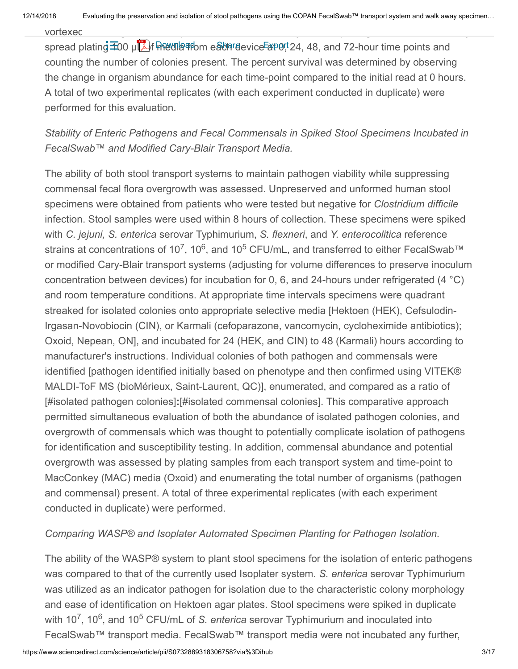spread plating **100 μLA** media from each device at 0, 24, 48, and 72-hour time points and counting the number of colonies present. The percent survival was determined by observing the change in organism abundance for each time-point compared to the initial read at 0 hours. A total of two experimental replicates (with each experiment conducted in duplicate) were performed for this evaluation.

### *Stability of Enteric Pathogens and Fecal Commensals in Spiked Stool Specimens Incubated in FecalSwab™ and Modified Cary-Blair Transport Media.*

The ability of both stool transport systems to maintain pathogen viability while suppressing commensal fecal flora overgrowth was assessed. Unpreserved and unformed human stool specimens were obtained from patients who were tested but negative for *Clostridium difficile* infection. Stool samples were used within 8 hours of collection. These specimens were spiked with *C. jejuni, S. enterica* serovar Typhimurium, *S. flexneri*, and *Y. enterocolitica* reference strains at concentrations of 10<sup>7</sup>, 10<sup>6</sup>, and 10<sup>5</sup> CFU/mL, and transferred to either FecalSwab™ or modified Cary-Blair transport systems (adjusting for volume differences to preserve inoculum concentration between devices) for incubation for 0, 6, and 24-hours under refrigerated (4 °C) and room temperature conditions. At appropriate time intervals specimens were quadrant streaked for isolated colonies onto appropriate selective media [Hektoen (HEK), Cefsulodin-Irgasan-Novobiocin (CIN), or Karmali (cefoparazone, vancomycin, cycloheximide antibiotics); Oxoid, Nepean, ON], and incubated for 24 (HEK, and CIN) to 48 (Karmali) hours according to manufacturer's instructions. Individual colonies of both pathogen and commensals were identified [pathogen identified initially based on phenotype and then confirmed using VITEK® MALDI-ToF MS (bioMérieux, Saint-Laurent, QC)], enumerated, and compared as a ratio of [#isolated pathogen colonies]**:**[#isolated commensal colonies]. This comparative approach permitted simultaneous evaluation of both the abundance of isolated pathogen colonies, and overgrowth of commensals which was thought to potentially complicate isolation of pathogens for identification and susceptibility testing. In addition, commensal abundance and potential overgrowth was assessed by plating samples from each transport system and time-point to MacConkey (MAC) media (Oxoid) and enumerating the total number of organisms (pathogen and commensal) present. A total of three experimental replicates (with each experiment conducted in duplicate) were performed.

### *Comparing WASP® and Isoplater Automated Specimen Planting for Pathogen Isolation.*

The ability of the WASP® system to plant stool specimens for the isolation of enteric pathogens was compared to that of the currently used Isoplater system. *S. enterica* serovar Typhimurium was utilized as an indicator pathogen for isolation due to the characteristic colony morphology and ease of identification on Hektoen agar plates. Stool specimens were spiked in duplicate with 10<sup>7</sup>, 10<sup>6</sup>, and 10<sup>5</sup> CFU/mL of *S. enterica* serovar Typhimurium and inoculated into FecalSwab™ transport media. FecalSwab™ transport media were not incubated any further,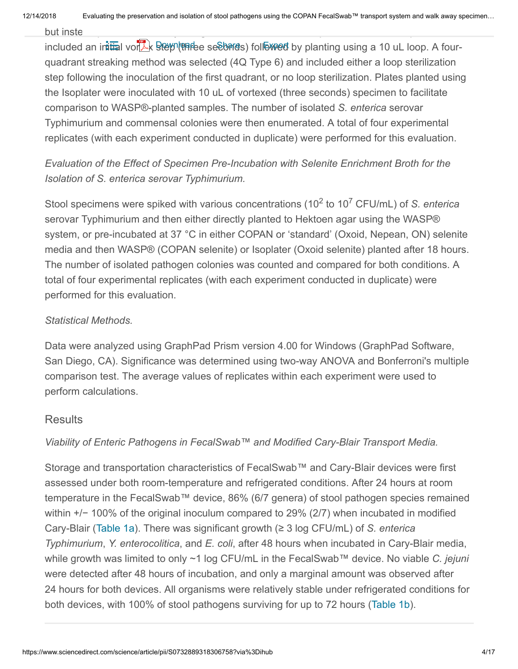but instead processed directly using either the WASP® or Isophanic using either the WASP® protocol. The WASP® protocol

included an initial vor<sup>te</sup>x Srep (three seconds) followed by planting using a 10 uL loop. A fourquadrant streaking method was selected (4Q Type 6) and included either a loop sterilization step following the inoculation of the first quadrant, or no loop sterilization. Plates planted using the Isoplater were inoculated with 10 uL of vortexed (three seconds) specimen to facilitate comparison to WASP®-planted samples. The number of isolated *S. enterica* serovar Typhimurium and commensal colonies were then enumerated. A total of four experimental replicates (with each experiment conducted in duplicate) were performed for this evaluation.

## *Evaluation of the Effect of Specimen Pre-Incubation with Selenite Enrichment Broth for the Isolation of S. enterica serovar Typhimurium.*

Stool specimens were spiked with various concentrations (10<sup>2</sup> to 10<sup>7</sup> CFU/mL) of *S. enterica* serovar Typhimurium and then either directly planted to Hektoen agar using the WASP® system, or pre-incubated at 37 °C in either COPAN or 'standard' (Oxoid, Nepean, ON) selenite media and then WASP® (COPAN selenite) or Isoplater (Oxoid selenite) planted after 18 hours. The number of isolated pathogen colonies was counted and compared for both conditions. A total of four experimental replicates (with each experiment conducted in duplicate) were performed for this evaluation.

#### *Statistical Methods.*

Data were analyzed using GraphPad Prism version 4.00 for Windows (GraphPad Software, San Diego, CA). Significance was determined using two-way ANOVA and Bonferroni's multiple comparison test. The average values of replicates within each experiment were used to perform calculations.

#### **Results**

#### *Viability of Enteric Pathogens in FecalSwab™ and Modified Cary-Blair Transport Media.*

<span id="page-3-0"></span>Storage and transportation characteristics of FecalSwab™ and Cary-Blair devices were first assessed under both room-temperature and refrigerated conditions. After 24 hours at room temperature in the FecalSwab™ device, 86% (6/7 genera) of stool pathogen species remained within +/− 100% of the original inoculum compared to 29% (2/7) when incubated in modified Cary-Blair ([Table 1a](#page-3-0)). There was significant growth (≥ 3 log CFU/mL) of *S. enterica Typhimurium*, *Y. enterocolitica*, and *E. coli*, after 48 hours when incubated in Cary-Blair media, while growth was limited to only ~1 log CFU/mL in the FecalSwab™ device. No viable *C. jejuni* were detected after 48 hours of incubation, and only a marginal amount was observed after 24 hours for both devices. All organisms were relatively stable under refrigerated conditions for both devices, with 100% of stool pathogens surviving for up to 72 hours [\(Table 1b](#page-4-0)).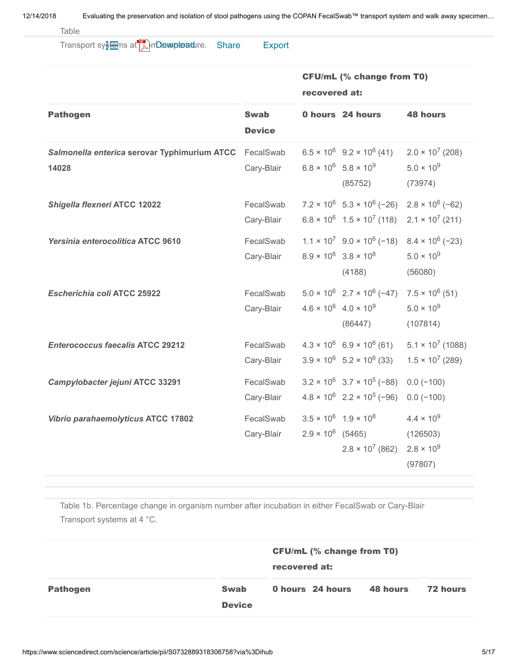Table 1a. Percentage change in organism number after in either FecalSwab or Cary-Blair in either FecalSwab or Cary-Blair in either FecalSwab or Cary-Blair in either FecalSwab or Cary-Blair in either FecalSwab or Cary-Blair

Transport systems at **A**mDemploadure. Share Export

|                                                                 |                              | <b>CFU/mL (% change from T0)</b><br>recovered at: |                                                                                                                                                              |                                                                   |  |
|-----------------------------------------------------------------|------------------------------|---------------------------------------------------|--------------------------------------------------------------------------------------------------------------------------------------------------------------|-------------------------------------------------------------------|--|
| <b>Pathogen</b>                                                 | <b>Swab</b><br><b>Device</b> |                                                   | 0 hours 24 hours                                                                                                                                             | <b>48 hours</b>                                                   |  |
| Salmonella enterica serovar Typhimurium ATCC FecalSwab<br>14028 | Cary-Blair                   |                                                   | $6.5 \times 10^6$ 9.2 $\times 10^6$ (41) 2.0 $\times 10^7$ (208)<br>$6.8 \times 10^6$ 5.8 $\times 10^9$<br>(85752)                                           | $5.0 \times 10^{9}$<br>(73974)                                    |  |
| Shigella flexneri ATCC 12022                                    | FecalSwab<br>Cary-Blair      |                                                   | $7.2 \times 10^6$ 5.3 $\times 10^6$ (-26) 2.8 $\times 10^6$ (-62)<br>$6.8 \times 10^6$ 1.5 $\times$ 10 <sup>7</sup> (118) 2.1 $\times$ 10 <sup>7</sup> (211) |                                                                   |  |
| Yersinia enterocolitica ATCC 9610                               | FecalSwab<br>Cary-Blair      |                                                   | $1.1 \times 10^7$ 9.0 $\times$ 10 <sup>6</sup> (-18) 8.4 $\times$ 10 <sup>6</sup> (-23)<br>$8.9 \times 10^6$ $3.8 \times 10^8$<br>(4188)                     | $5.0 \times 10^{9}$<br>(56080)                                    |  |
| Escherichia coli ATCC 25922                                     | FecalSwab<br>Cary-Blair      |                                                   | $5.0 \times 10^6$ $2.7 \times 10^6$ (-47) $7.5 \times 10^6$ (51)<br>$4.6 \times 10^6$ $4.0 \times 10^9$<br>(86447)                                           | $5.0 \times 10^{9}$<br>(107814)                                   |  |
| <b>Enterococcus faecalis ATCC 29212</b>                         | FecalSwab<br>Cary-Blair      |                                                   | $4.3 \times 10^6$ 6.9 $\times$ 10 <sup>6</sup> (61)<br>$3.9 \times 10^6$ 5.2 $\times 10^6$ (33)                                                              | $5.1 \times 10^7$ (1088)<br>$1.5 \times 10^7$ (289)               |  |
| Campylobacter jejuni ATCC 33291                                 | FecalSwab<br>Cary-Blair      |                                                   | $3.2 \times 10^6$ $3.7 \times 10^5$ (-88)<br>$4.8 \times 10^6$ 2.2 $\times 10^5$ (-96)                                                                       | $0.0 (-100)$<br>$0.0 (-100)$                                      |  |
| Vibrio parahaemolyticus ATCC 17802                              | FecalSwab<br>Cary-Blair      |                                                   | $3.5 \times 10^6$ $1.9 \times 10^8$<br>$2.9 \times 10^6$ (5465)<br>$2.8 \times 10^7$ (862)                                                                   | $4.4 \times 10^{9}$<br>(126503)<br>$2.8 \times 10^{9}$<br>(97807) |  |

<span id="page-4-0"></span>Table 1b. Percentage change in organism number after incubation in either FecalSwab or Cary-Blair Transport systems at 4 °C.

|                 |                              | <b>CFU/mL (% change from T0)</b><br>recovered at: |                  |          |          |
|-----------------|------------------------------|---------------------------------------------------|------------------|----------|----------|
| <b>Pathogen</b> | <b>Swab</b><br><b>Device</b> |                                                   | 0 hours 24 hours | 48 hours | 72 hours |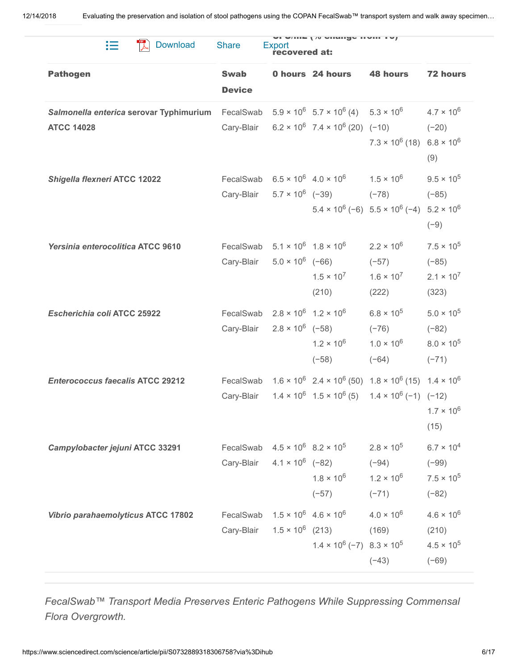| 這<br><b>Download</b>                                                   | <b>Share</b>                 | Export<br>recovered at: | <b>VI WILLE   / VIGHIYU HVIII TV/</b>                                                                       |                                                                                                                                                           |                                                                  |
|------------------------------------------------------------------------|------------------------------|-------------------------|-------------------------------------------------------------------------------------------------------------|-----------------------------------------------------------------------------------------------------------------------------------------------------------|------------------------------------------------------------------|
| <b>Pathogen</b>                                                        | <b>Swab</b><br><b>Device</b> |                         | 0 hours 24 hours                                                                                            | <b>48 hours</b>                                                                                                                                           | <b>72 hours</b>                                                  |
| Salmonella enterica serovar Typhimurium FecalSwab<br><b>ATCC 14028</b> | Cary-Blair                   |                         | $5.9 \times 10^6$ $5.7 \times 10^6$ (4) $5.3 \times 10^6$<br>$6.2 \times 10^6$ 7.4 $\times 10^6$ (20) (-10) | $7.3 \times 10^6$ (18) $6.8 \times 10^6$                                                                                                                  | $4.7 \times 10^{6}$<br>$(-20)$<br>(9)                            |
| <b>Shigella flexneri ATCC 12022</b>                                    | Cary-Blair                   |                         | FecalSwab $6.5 \times 10^6$ $4.0 \times 10^6$ $1.5 \times 10^6$<br>$5.7 \times 10^6$ (-39) (-78)            | $5.4 \times 10^6$ (-6) $5.5 \times 10^6$ (-4) $5.2 \times 10^6$                                                                                           | $9.5 \times 10^{5}$<br>$(-85)$<br>$(-9)$                         |
| Yersinia enterocolitica ATCC 9610                                      | FecalSwab<br>Cary-Blair      | $5.0 \times 10^6$ (-66) | $5.1 \times 10^6$ $1.8 \times 10^6$<br>$1.5 \times 10^{7}$<br>(210)                                         | $2.2 \times 10^{6}$<br>$(-57)$<br>$1.6 \times 10^7$<br>(222)                                                                                              | $7.5 \times 10^5$<br>$(-85)$<br>$2.1 \times 10^{7}$<br>(323)     |
| Escherichia coli ATCC 25922                                            | FecalSwab<br>Cary-Blair      | $2.8 \times 10^6$ (-58) | $2.8 \times 10^6$ 1.2 $\times 10^6$<br>$1.2 \times 10^{6}$<br>$(-58)$                                       | $6.8 \times 10^5$<br>$(-76)$<br>$1.0 \times 10^{6}$<br>$(-64)$                                                                                            | $5.0 \times 10^{5}$<br>$(-82)$<br>$8.0 \times 10^{5}$<br>$(-71)$ |
| <b>Enterococcus faecalis ATCC 29212</b>                                | FecalSwab<br>Cary-Blair      |                         |                                                                                                             | $1.6 \times 10^6$ 2.4 $\times 10^6$ (50) $1.8 \times 10^6$ (15) $1.4 \times 10^6$<br>$1.4 \times 10^6$ $1.5 \times 10^6$ (5) $1.4 \times 10^6$ (-1) (-12) | $1.7 \times 10^6$<br>(15)                                        |
| Campylobacter jejuni ATCC 33291                                        | Cary-Blair                   |                         | FecalSwab $4.5 \times 10^6$ $8.2 \times 10^5$ $2.8 \times 10^5$<br>$4.1 \times 10^6$ (-82)<br>$(-57)$       | $(-94)$<br>$1.8 \times 10^6$ $1.2 \times 10^6$<br>$(-71)$                                                                                                 | $6.7 \times 10^{4}$<br>$(-99)$<br>$7.5 \times 10^{5}$<br>$(-82)$ |
| Vibrio parahaemolyticus ATCC 17802                                     | FecalSwab<br>Cary-Blair      |                         | $1.5 \times 10^6$ 4.6 $\times 10^6$<br>$1.5 \times 10^6$ (213)<br>$1.4 \times 10^6$ (-7) $8.3 \times 10^5$  | $4.0 \times 10^{6}$<br>(169)<br>$(-43)$                                                                                                                   | $4.6 \times 10^{6}$<br>(210)<br>$4.5 \times 10^{5}$<br>$(-69)$   |

*FecalSwab™ Transport Media Preserves Enteric Pathogens While Suppressing Commensal Flora Overgrowth.*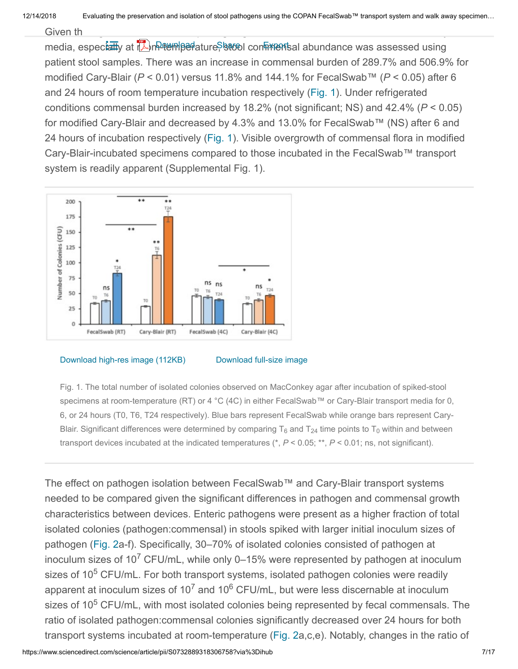Given the significant difference in pathogen growth when stored in FecalSwab  $\mathcal{L}$ 

media, espectatly at the meter perfature, stool con ments al abundance was assessed using patient stool samples. There was an increase in commensal burden of 289.7% and 506.9% for modified Cary-Blair (*P* < 0.01) versus 11.8% and 144.1% for FecalSwab™ (*P* < 0.05) after 6 and 24 hours of room temperature incubation respectively [\(Fig. 1](#page-6-0)). Under refrigerated conditions commensal burden increased by 18.2% (not significant; NS) and 42.4% (*P* < 0.05) for modified Cary-Blair and decreased by 4.3% and 13.0% for FecalSwab™ (NS) after 6 and 24 hours of incubation respectively ([Fig. 1](#page-6-0)). Visible overgrowth of commensal flora in modified Cary-Blair-incubated specimens compared to those incubated in the FecalSwab™ transport system is readily apparent (Supplemental Fig. 1).

<span id="page-6-0"></span>

[Download high-res image \(112KB\)](https://ars.els-cdn.com/content/image/1-s2.0-S0732889318306758-gr1_lrg.jpg) [Download full-size image](https://ars.els-cdn.com/content/image/1-s2.0-S0732889318306758-gr1.jpg)

Fig. 1. The total number of isolated colonies observed on MacConkey agar after incubation of spiked-stool specimens at room-temperature (RT) or 4 °C (4C) in either FecalSwab™ or Cary-Blair transport media for 0, 6, or 24 hours (T0, T6, T24 respectively). Blue bars represent FecalSwab while orange bars represent Cary-Blair. Significant differences were determined by comparing T<sub>6</sub> and T<sub>24</sub> time points to T<sub>0</sub> within and between transport devices incubated at the indicated temperatures (\*, *P* < 0.05; \*\*, *P* < 0.01; ns, not significant).

The effect on pathogen isolation between FecalSwab™ and Cary-Blair transport systems needed to be compared given the significant differences in pathogen and commensal growth characteristics between devices. Enteric pathogens were present as a higher fraction of total isolated colonies (pathogen:commensal) in stools spiked with larger initial inoculum sizes of pathogen ([Fig. 2a](#page-7-0)-f). Specifically, 30–70% of isolated colonies consisted of pathogen at inoculum sizes of 10<sup>7</sup> CFU/mL, while only 0–15% were represented by pathogen at inoculum sizes of 10<sup>5</sup> CFU/mL. For both transport systems, isolated pathogen colonies were readily apparent at inoculum sizes of 10<sup>7</sup> and 10<sup>6</sup> CFU/mL, but were less discernable at inoculum sizes of 10<sup>5</sup> CFU/mL, with most isolated colonies being represented by fecal commensals. The ratio of isolated pathogen:commensal colonies significantly decreased over 24 hours for both transport systems incubated at room-temperature ([Fig. 2](#page-7-0)a,c,e). Notably, changes in the ratio of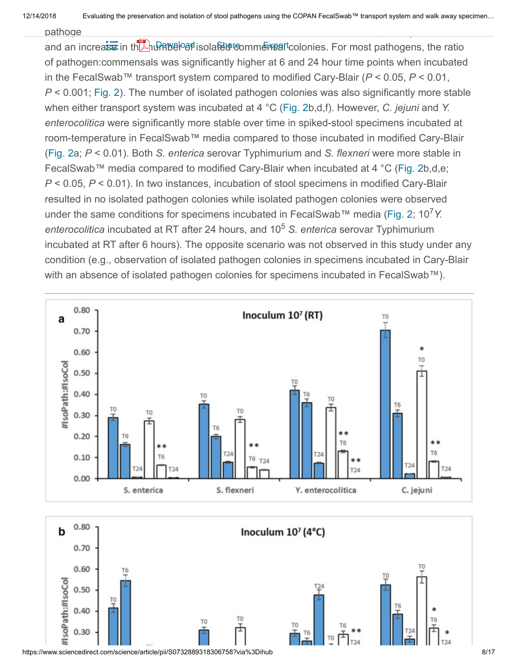$pathoqe$ 

and an increase in th**AuPAWEP8f** isola<del>ted</del> commensal colonies. For most pathogens, the ratio of pathogen:commensals was significantly higher at 6 and 24 hour time points when incubated in the FecalSwab™ transport system compared to modified Cary-Blair (*P* < 0.05, *P* < 0.01, *P* < 0.001; [Fig. 2](#page-7-0)). The number of isolated pathogen colonies was also significantly more stable when either transport system was incubated at 4 °C [\(Fig. 2](#page-7-0)b,d,f). However, *C. jejuni* and *Y. enterocolitica* were significantly more stable over time in spiked-stool specimens incubated at room-temperature in FecalSwab™ media compared to those incubated in modified Cary-Blair ([Fig. 2](#page-7-0)a; *P* < 0.01). Both *S. enterica* serovar Typhimurium and *S. flexneri* were more stable in FecalSwab™ media compared to modified Cary-Blair when incubated at 4 °C ([Fig. 2b](#page-7-0),d,e; *P* < 0.05, *P* < 0.01). In two instances, incubation of stool specimens in modified Cary-Blair resulted in no isolated pathogen colonies while isolated pathogen colonies were observed under the same conditions for specimens incubated in FecalSwab™ media ([Fig. 2;](#page-7-0) 10<sup>7</sup>Y. enterocolitica incubated at RT after 24 hours, and 10<sup>5</sup> S. enterica serovar Typhimurium incubated at RT after 6 hours). The opposite scenario was not observed in this study under any condition (e.g., observation of isolated pathogen colonies in specimens incubated in Cary-Blair with an absence of isolated pathogen colonies for specimens incubated in FecalSwab™).

<span id="page-7-0"></span>



https://www.sciencedirect.com/science/article/pii/S0732889318306758?via%3Dihub 8/17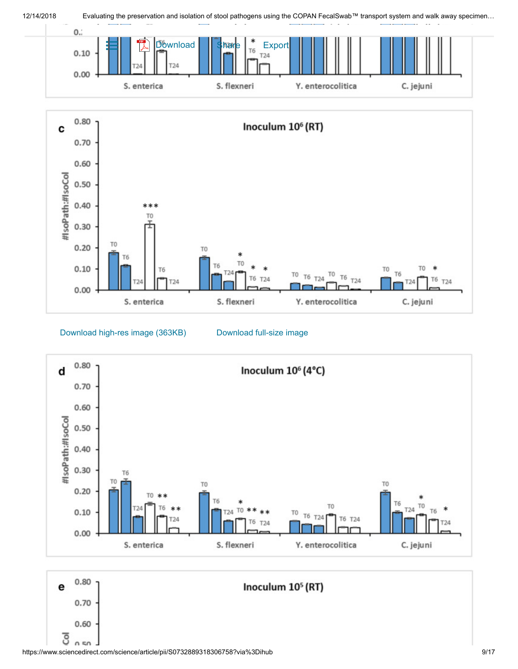

12/14/2018 Evaluating the preservation and isolation of stool pathogens using the COPAN FecalSwab™ transport system and walk away specimen...









https://www.sciencedirect.com/science/article/pii/S0732889318306758?via%3Dihub 9/17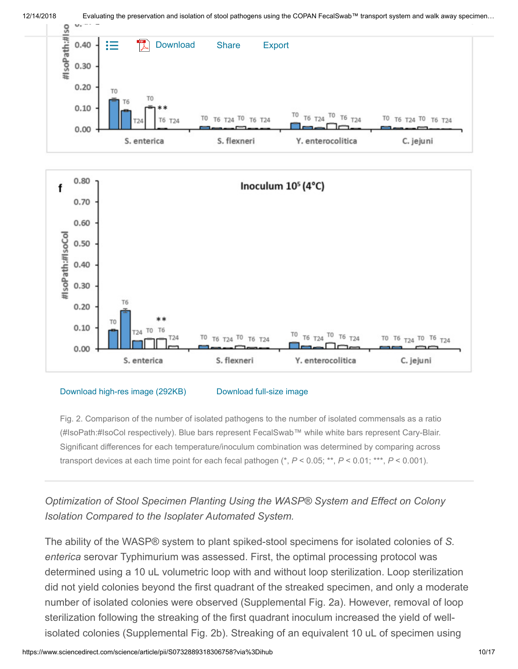



#### [Download high-res image \(292KB\)](https://ars.els-cdn.com/content/image/1-s2.0-S0732889318306758-gr2df_lrg.jpg) [Download full-size image](https://ars.els-cdn.com/content/image/1-s2.0-S0732889318306758-gr2df.jpg)

Fig. 2. Comparison of the number of isolated pathogens to the number of isolated commensals as a ratio (#IsoPath:#IsoCol respectively). Blue bars represent FecalSwab™ while white bars represent Cary-Blair. Significant differences for each temperature/inoculum combination was determined by comparing across transport devices at each time point for each fecal pathogen (\*, *P* < 0.05; \*\*, *P* < 0.01; \*\*\*, *P* < 0.001).

### *Optimization of Stool Specimen Planting Using the WASP® System and Effect on Colony Isolation Compared to the Isoplater Automated System.*

The ability of the WASP® system to plant spiked-stool specimens for isolated colonies of *S. enterica* serovar Typhimurium was assessed. First, the optimal processing protocol was determined using a 10 uL volumetric loop with and without loop sterilization. Loop sterilization did not yield colonies beyond the first quadrant of the streaked specimen, and only a moderate number of isolated colonies were observed (Supplemental Fig. 2a). However, removal of loop sterilization following the streaking of the first quadrant inoculum increased the yield of wellisolated colonies (Supplemental Fig. 2b). Streaking of an equivalent 10 uL of specimen using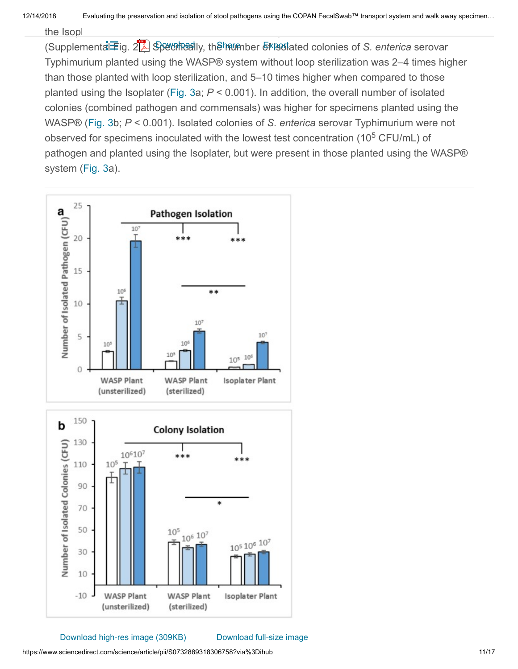$\frac{1}{\pi}$  isolated in fewer isolated in fewer isolated compared to either WASP® methods  $\frac{1}{\pi}$ 

(Supplemental Fig. 2<sup>1</sup>. Specifically, the number of isolated colonies of *S. enterica* serovar Typhimurium planted using the WASP® system without loop sterilization was 2–4 times higher than those planted with loop sterilization, and 5–10 times higher when compared to those planted using the Isoplater ([Fig. 3](#page-10-0)a; *P* < 0.001). In addition, the overall number of isolated colonies (combined pathogen and commensals) was higher for specimens planted using the WASP® [\(Fig. 3](#page-10-0)b; *P* < 0.001). Isolated colonies of *S. enterica* serovar Typhimurium were not observed for specimens inoculated with the lowest test concentration (10<sup>5</sup> CFU/mL) of pathogen and planted using the Isoplater, but were present in those planted using the WASP® system [\(Fig. 3](#page-10-0)a).

<span id="page-10-0"></span>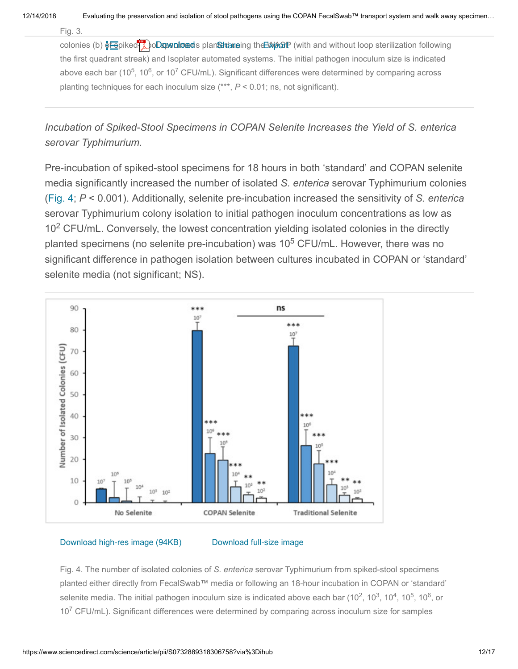Fig. 3. The number of isolated colonies of *S. enterica* serovar Typhimurium (a) and total number of isolated

colonies (b) **Shared-strops planted as a stock of spiles and strong in the UMAGE** (with and without loop sterilization following the first quadrant streak) and Isoplater automated systems. The initial pathogen inoculum size is indicated above each bar (10<sup>5</sup>, 10<sup>6</sup>, or 10<sup>7</sup> CFU/mL). Significant differences were determined by comparing across planting techniques for each inoculum size (\*\*\*, *P* < 0.01; ns, not significant).

*Incubation of Spiked-Stool Specimens in COPAN Selenite Increases the Yield of S. enterica serovar Typhimurium.*

Pre-incubation of spiked-stool specimens for 18 hours in both 'standard' and COPAN selenite media significantly increased the number of isolated *S. enterica* serovar Typhimurium colonies ([Fig. 4](#page-11-0); *P* < 0.001). Additionally, selenite pre-incubation increased the sensitivity of *S. enterica* serovar Typhimurium colony isolation to initial pathogen inoculum concentrations as low as  $10<sup>2</sup>$  CFU/mL. Conversely, the lowest concentration yielding isolated colonies in the directly planted specimens (no selenite pre-incubation) was 10<sup>5</sup> CFU/mL. However, there was no significant difference in pathogen isolation between cultures incubated in COPAN or 'standard' selenite media (not significant; NS).

<span id="page-11-0"></span>

[Download high-res image \(94KB\)](https://ars.els-cdn.com/content/image/1-s2.0-S0732889318306758-gr4_lrg.jpg) [Download full-size image](https://ars.els-cdn.com/content/image/1-s2.0-S0732889318306758-gr4.jpg)

Fig. 4. The number of isolated colonies of *S. enterica* serovar Typhimurium from spiked-stool specimens planted either directly from FecalSwab™ media or following an 18-hour incubation in COPAN or 'standard' selenite media. The initial pathogen inoculum size is indicated above each bar (10<sup>2</sup>, 10<sup>3</sup>, 10<sup>4</sup>, 10<sup>5</sup>, 10<sup>6</sup>, or  $10<sup>7</sup>$  CFU/mL). Significant differences were determined by comparing across inoculum size for samples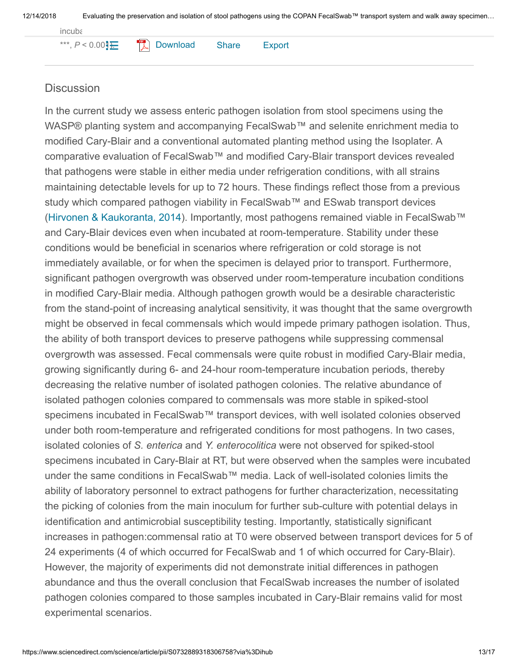incubated with and without selenite, and between COPAN and traditional selenite (\*, *P* < 0.05; \*\*, *P* < 0.01;

\*\*\*,  $P < 0.00$ **}** $\leftarrow$ [Download](https://www.sciencedirect.com/science/article/pii/S0732889318306758/pdfft?md5=df44cbf6aa26627c276cf6ca637eb264&pid=1-s2.0-S0732889318306758-main.pdf) Share Export

#### **Discussion**

<span id="page-12-0"></span>In the current study we assess enteric pathogen isolation from stool specimens using the WASP® planting system and accompanying FecalSwab™ and selenite enrichment media to modified Cary-Blair and a conventional automated planting method using the Isoplater. A comparative evaluation of FecalSwab™ and modified Cary-Blair transport devices revealed that pathogens were stable in either media under refrigeration conditions, with all strains maintaining detectable levels for up to 72 hours. These findings reflect those from a previous study which compared pathogen viability in FecalSwab™ and ESwab transport devices (Hirvonen & Kaukoranta, 2014). Importantly, most pathogens remained viable in FecalSwab™ and Cary-Blair devices even when incubated at room-temperature. Stability under these conditions would be beneficial in scenarios where refrigeration or cold storage is not immediately available, or for when the specimen is delayed prior to transport. Furthermore, significant pathogen overgrowth was observed under room-temperature incubation conditions in modified Cary-Blair media. Although pathogen growth would be a desirable characteristic from the stand-point of increasing analytical sensitivity, it was thought that the same overgrowth might be observed in fecal commensals which would impede primary pathogen isolation. Thus, the ability of both transport devices to preserve pathogens while suppressing commensal overgrowth was assessed. Fecal commensals were quite robust in modified Cary-Blair media, growing significantly during 6- and 24-hour room-temperature incubation periods, thereby decreasing the relative number of isolated pathogen colonies. The relative abundance of isolated pathogen colonies compared to commensals was more stable in spiked-stool specimens incubated in FecalSwab™ transport devices, with well isolated colonies observed under both room-temperature and refrigerated conditions for most pathogens. In two cases, isolated colonies of *S. enterica* and *Y. enterocolitica* were not observed for spiked-stool specimens incubated in Cary-Blair at RT, but were observed when the samples were incubated under the same conditions in FecalSwab™ media. Lack of well-isolated colonies limits the ability of laboratory personnel to extract pathogens for further characterization, necessitating the picking of colonies from the main inoculum for further sub-culture with potential delays in identification and antimicrobial susceptibility testing. Importantly, statistically significant increases in pathogen:commensal ratio at T0 were observed between transport devices for 5 of 24 experiments (4 of which occurred for FecalSwab and 1 of which occurred for Cary-Blair). However, the majority of experiments did not demonstrate initial differences in pathogen abundance and thus the overall conclusion that FecalSwab increases the number of isolated pathogen colonies compared to those samples incubated in Cary-Blair remains valid for most experimental scenarios.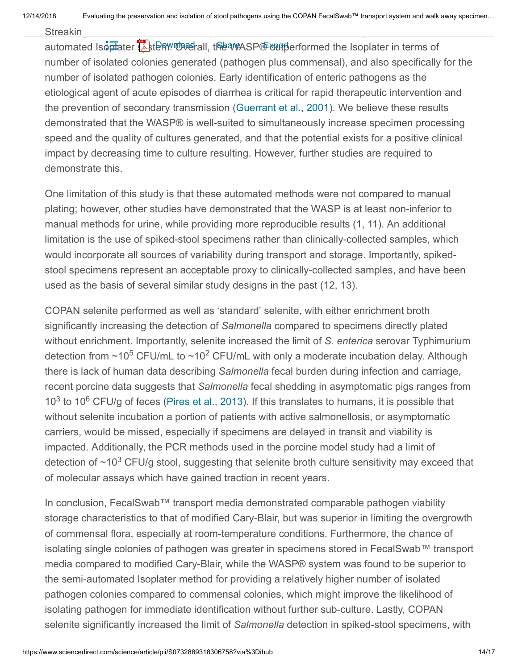Streaking for isolated colonies was optimized for the WASP®, and compared to the semi-------------------------

<span id="page-13-0"></span>automated Isoplater **L**item. Overall, the WASP® outperformed the Isoplater in terms of number of isolated colonies generated (pathogen plus commensal), and also specifically for the number of isolated pathogen colonies. Early identification of enteric pathogens as the etiological agent of acute episodes of diarrhea is critical for rapid therapeutic intervention and the prevention of secondary transmission (Guerrant et al., 2001). We believe these results demonstrated that the WASP® is well-suited to simultaneously increase specimen processing speed and the quality of cultures generated, and that the potential exists for a positive clinical impact by decreasing time to culture resulting. However, further studies are required to demonstrate this.

One limitation of this study is that these automated methods were not compared to manual plating; however, other studies have demonstrated that the WASP is at least non-inferior to manual methods for urine, while providing more reproducible results (1, 11). An additional limitation is the use of spiked-stool specimens rather than clinically-collected samples, which would incorporate all sources of variability during transport and storage. Importantly, spikedstool specimens represent an acceptable proxy to clinically-collected samples, and have been used as the basis of several similar study designs in the past (12, 13).

<span id="page-13-1"></span>COPAN selenite performed as well as 'standard' selenite, with either enrichment broth significantly increasing the detection of *Salmonella* compared to specimens directly plated without enrichment. Importantly, selenite increased the limit of *S. enterica* serovar Typhimurium detection from ~10<sup>5</sup> CFU/mL to ~10<sup>2</sup> CFU/mL with only a moderate incubation delay. Although there is lack of human data describing *Salmonella* fecal burden during infection and carriage, recent porcine data suggests that *Salmonella* fecal shedding in asymptomatic pigs ranges from 10<sup>3</sup> to 10<sup>6</sup> CFU/g of feces (Pires et al., 2013). If this translates to humans, it is possible that without selenite incubation a portion of patients with active salmonellosis, or asymptomatic carriers, would be missed, especially if specimens are delayed in transit and viability is impacted. Additionally, the PCR methods used in the porcine model study had a limit of detection of  $\sim$ 10<sup>3</sup> CFU/g stool, suggesting that selenite broth culture sensitivity may exceed that of molecular assays which have gained traction in recent years.

In conclusion, FecalSwab™ transport media demonstrated comparable pathogen viability storage characteristics to that of modified Cary-Blair, but was superior in limiting the overgrowth of commensal flora, especially at room-temperature conditions. Furthermore, the chance of isolating single colonies of pathogen was greater in specimens stored in FecalSwab™ transport media compared to modified Cary-Blair, while the WASP® system was found to be superior to the semi-automated Isoplater method for providing a relatively higher number of isolated pathogen colonies compared to commensal colonies, which might improve the likelihood of isolating pathogen for immediate identification without further sub-culture. Lastly, COPAN selenite significantly increased the limit of *Salmonella* detection in spiked-stool specimens, with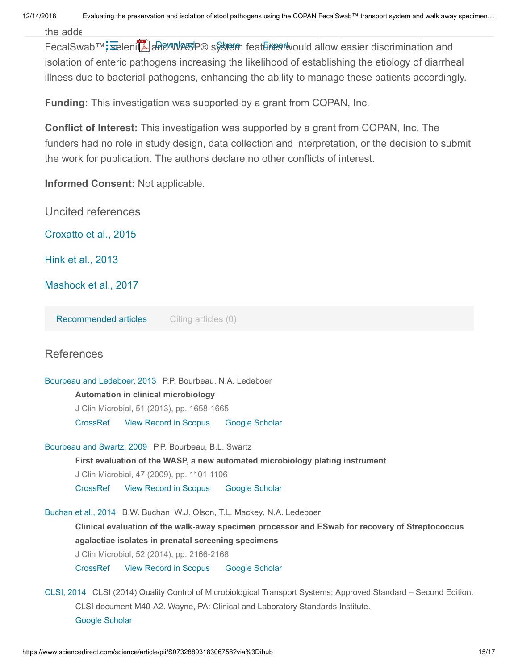FecalSwab™; selenitAand WASP® system features would allow easier discrimination and isolation of enteric pathogens increasing the likelihood of establishing the etiology of diarrheal illness due to bacterial pathogens, enhancing the ability to manage these patients accordingly.

**Funding:** This investigation was supported by a grant from COPAN, Inc.

**Conflict of Interest:** This investigation was supported by a grant from COPAN, Inc. The funders had no role in study design, data collection and interpretation, or the decision to submit the work for publication. The authors declare no other conflicts of interest.

**Informed Consent:** Not applicable.

Uncited references

<span id="page-14-0"></span>Croxatto et al., 2015

<span id="page-14-1"></span>Hink et al., 2013

<span id="page-14-2"></span>Mashock et al., 2017

**Recommended articles** Citing articles (0)

#### **References**

[Bourbeau and Ledeboer, 2013](#page-1-0) P.P. Bourbeau, N.A. Ledeboer

**Automation in clinical microbiology**

J Clin Microbiol, 51 (2013), pp. 1658-1665

[CrossRef](https://doi.org/10.1128/JCM.00301-13) [View Record in Scopus](https://www.scopus.com/inward/record.url?eid=2-s2.0-84878492392&partnerID=10&rel=R3.0.0) [Google Scholar](https://scholar.google.com/scholar_lookup?title=Automation%20in%20clinical%20microbiology&publication_year=2013&author=P.P.%20Bourbeau&author=N.A.%20Ledeboer)

[Bourbeau and Swartz, 2009](#page-1-1) P.P. Bourbeau, B.L. Swartz

**First evaluation of the WASP, a new automated microbiology plating instrument**

J Clin Microbiol, 47 (2009), pp. 1101-1106

[CrossRef](https://doi.org/10.1128/JCM.01963-08) [View Record in Scopus](https://www.scopus.com/inward/record.url?eid=2-s2.0-65249157909&partnerID=10&rel=R3.0.0) [Google Scholar](https://scholar.google.com/scholar_lookup?title=First%20evaluation%20of%20the%20WASP%2C%20a%20new%20automated%20microbiology%20plating%20instrument&publication_year=2009&author=P.P.%20Bourbeau&author=B.L.%20Swartz)

[Buchan et al., 2014](#page-1-2) B.W. Buchan, W.J. Olson, T.L. Mackey, N.A. Ledeboer **Clinical evaluation of the walk-away specimen processor and ESwab for recovery of Streptococcus agalactiae isolates in prenatal screening specimens**

J Clin Microbiol, 52 (2014), pp. 2166-2168

[CrossRef](https://doi.org/10.1128/JCM.00374-14) [View Record in Scopus](https://www.scopus.com/inward/record.url?eid=2-s2.0-84901675733&partnerID=10&rel=R3.0.0) [Google Scholar](https://scholar.google.com/scholar_lookup?title=Clinical%20evaluation%20of%20the%20walk-away%20specimen%20processor%20and%20ESwab%20for%20recovery%20of%20Streptococcus%20agalactiae%20isolates%20in%20prenatal%20screening%20specimens&publication_year=2014&author=B.W.%20Buchan&author=W.J.%20Olson&author=T.L.%20Mackey&author=N.A.%20Ledeboer)

[CLSI, 2014](#page-1-3) CLSI (2014) Quality Control of Microbiological Transport Systems; Approved Standard – Second Edition. CLSI document M40-A2. Wayne, PA: Clinical and Laboratory Standards Institute. [Google Scholar](https://scholar.google.com/scholar?q=%22CLSI%20(2014)%20Quality%20Control%20of%20Microbiological%20Transport%20Systems;%20Approved%20Standard%20%E2%80%93%20Second%20Edition.%20CLSI%20document%20M40-A2.%20Wayne,%20PA:%20Clinical%20and%20Laboratory%20Standards%20Institute.%22)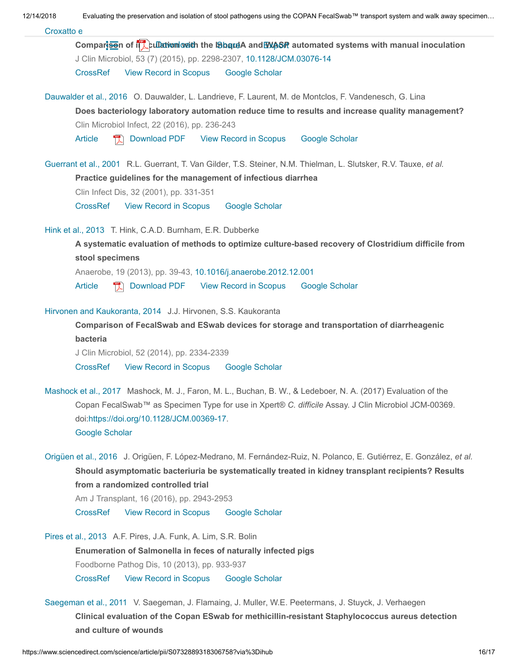| 12/14/2018 |  |  |
|------------|--|--|
|            |  |  |

Evaluating the preservation and isolation of stool pathogens using the COPAN FecalSwab™ transport system and walk away specimen...

| Croxatto e |  |
|------------|--|
|------------|--|

Comparison of **interpretion with the Indianal And WASP** automated systems with manual inoculation J Clin Microbiol, 53 (7) (2015), pp. 2298-2307, [10.1128/JCM.03076-14](https://doi.org/10.1128/JCM.03076-14) [CrossRef](https://doi.org/10.1128/JCM.03076-14) [View Record in Scopus](https://www.scopus.com/inward/record.url?eid=2-s2.0-84932645389&partnerID=10&rel=R3.0.0) [Google Scholar](https://scholar.google.com/scholar_lookup?title=Comparison%20of%20inoculation%20with%20the%20InoqulA%20and%20WASP%20automated%20systems%20with%20manual%20inoculation&publication_year=2015&author=A.%20Croxatto&author=K.%20Dijkstra&author=G.%20Prod%27hom&author=G.%20Greub)

[Dauwalder et al., 2016](#page-1-4) O. Dauwalder, L. Landrieve, F. Laurent, M. de Montclos, F. Vandenesch, G. Lina **Does bacteriology laboratory automation reduce time to results and increase quality management?** Clin Microbiol Infect, 22 (2016), pp. 236-243

[Article](https://www.sciencedirect.com/science/article/pii/S1198743X15009787) **R** [Download PDF](https://www.sciencedirect.com/science/article/pii/S1198743X15009787/pdfft?md5=86e168415547e6eedc76011b8c1bc8c9&pid=1-s2.0-S1198743X15009787-main.pdf) [View Record in Scopus](https://www.scopus.com/inward/record.url?eid=2-s2.0-84959506445&partnerID=10&rel=R3.0.0) [Google Scholar](https://scholar.google.com/scholar_lookup?title=Does%20bacteriology%20laboratory%20automation%20reduce%20time%20to%20results%20and%20increase%20quality%20management%3F&publication_year=2016&author=O.%20Dauwalder&author=L.%20Landrieve&author=F.%20Laurent&author=M.%20de%20Montclos&author=F.%20Vandenesch&author=G.%20Lina)

[Guerrant et al., 2001](#page-13-0) R.L. Guerrant, T. Van Gilder, T.S. Steiner, N.M. Thielman, L. Slutsker, R.V. Tauxe, et al. **Practice guidelines for the management of infectious diarrhea**

Clin Infect Dis, 32 (2001), pp. 331-351

[CrossRef](https://doi.org/10.1086/318514) [View Record in Scopus](https://www.scopus.com/inward/record.url?eid=2-s2.0-0035118034&partnerID=10&rel=R3.0.0) [Google Scholar](https://scholar.google.com/scholar_lookup?title=Practice%20guidelines%20for%20the%20management%20of%20infectious%20diarrhea&publication_year=2001&author=R.L.%20Guerrant&author=T.%20Van%20Gilder&author=T.S.%20Steiner&author=N.M.%20Thielman&author=L.%20Slutsker&author=R.V.%20Tauxe)

[Hink et al., 2013](#page-14-1) T. Hink, C.A.D. Burnham, E.R. Dubberke

**A systematic evaluation of methods to optimize culture-based recovery of Clostridium difficile from stool specimens**

Anaerobe, 19 (2013), pp. 39-43, [10.1016/j.anaerobe.2012.12.001](https://doi.org/10.1016/j.anaerobe.2012.12.001)

[Article](https://www.sciencedirect.com/science/article/pii/S1075996412001692) **R** [Download PDF](https://www.sciencedirect.com/science/article/pii/S1075996412001692/pdfft?md5=3399d97882ef60b2c80960e1b04e6fef&pid=1-s2.0-S1075996412001692-main.pdf) [View Record in Scopus](https://www.scopus.com/inward/record.url?eid=2-s2.0-84872822741&partnerID=10&rel=R3.0.0) [Google Scholar](https://scholar.google.com/scholar_lookup?title=A%20systematic%20evaluation%20of%20methods%20to%20optimize%20culture-based%20recovery%20of%20Clostridium%20difficile%20from%20stool%20specimens&publication_year=2013&author=T.%20Hink&author=C.A.D.%20Burnham&author=E.R.%20Dubberke)

[Hirvonen and Kaukoranta, 2014](#page-12-0) J.J. Hirvonen, S.S. Kaukoranta

**Comparison of FecalSwab and ESwab devices for storage and transportation of diarrheagenic bacteria**

J Clin Microbiol, 52 (2014), pp. 2334-2339

[CrossRef](https://doi.org/10.1128/JCM.00539-14) [View Record in Scopus](https://www.scopus.com/inward/record.url?eid=2-s2.0-84903774135&partnerID=10&rel=R3.0.0) [Google Scholar](https://scholar.google.com/scholar_lookup?title=Comparison%20of%20FecalSwab%20and%20ESwab%20devices%20for%20storage%20and%20transportation%20of%20diarrheagenic%20bacteria&publication_year=2014&author=J.J.%20Hirvonen&author=S.S.%20Kaukoranta)

[Mashock et al., 2017](#page-14-2) Mashock, M. J., Faron, M. L., Buchan, B. W., & Ledeboer, N. A. (2017) Evaluation of the Copan FecalSwab™ as Specimen Type for use in Xpert® *C. difficile* Assay. J Clin Microbiol JCM-00369. doi:[https://doi.org/10.1128/JCM.00369-17.](https://doi.org/10.1128/JCM.00369-17) [Google Scholar](https://scholar.google.com/scholar?q=%22Mashock,%20M.%20J.,%20Faron,%20M.%20L.,%20Buchan,%20B.%20W.,%20&%20Ledeboer,%20N.%20A.%20(2017)%20Evaluation%20of%20the%20Copan%20FecalSwab%E2%84%A2%20as%20Specimen%20Type%20for%20use%20in%20Xpert%C2%AE%20C.%20difficile%20Assay.%20J%20Clin%20Microbiol%20JCM-00369.%20doi:https://doi.org/10.1128/JCM.00369-17.%22)

[Origüen et al., 2016](#page-1-5) J. Origüen, F. López-Medrano, M. Fernández-Ruiz, N. Polanco, E. Gutiérrez, E. González, *et al.* **Should asymptomatic bacteriuria be systematically treated in kidney transplant recipients? Results from a randomized controlled trial**

Am J Transplant, 16 (2016), pp. 2943-2953

[CrossRef](https://doi.org/10.1111/ajt.13829) [View Record in Scopus](https://www.scopus.com/inward/record.url?eid=2-s2.0-84971261583&partnerID=10&rel=R3.0.0) [Google Scholar](https://scholar.google.com/scholar_lookup?title=Should%20asymptomatic%20bacteriuria%20be%20systematically%20treated%20in%20kidney%20transplant%20recipients%3F%20Results%20from%20a%20randomized%20controlled%20trial&publication_year=2016&author=J.%20Orig%C3%BCen&author=F.%20L%C3%B3pez-Medrano&author=M.%20Fern%C3%A1ndez-Ruiz&author=N.%20Polanco&author=E.%20Guti%C3%A9rrez&author=E.%20Gonz%C3%A1lez)

[Pires et al., 2013](#page-13-1) A.F. Pires, J.A. Funk, A. Lim, S.R. Bolin **Enumeration of Salmonella in feces of naturally infected pigs** Foodborne Pathog Dis, 10 (2013), pp. 933-937 [CrossRef](https://doi.org/10.1089/fpd.2013.1547) [View Record in Scopus](https://www.scopus.com/inward/record.url?eid=2-s2.0-84886682997&partnerID=10&rel=R3.0.0) [Google Scholar](https://scholar.google.com/scholar_lookup?title=Enumeration%20of%20Salmonella%20in%20feces%20of%20naturally%20infected%20pigs&publication_year=2013&author=A.F.%20Pires&author=J.A.%20Funk&author=A.%20Lim&author=S.R.%20Bolin)

[Saegeman et al., 2011](#page-1-6) V. Saegeman, J. Flamaing, J. Muller, W.E. Peetermans, J. Stuyck, J. Verhaegen **Clinical evaluation of the Copan ESwab for methicillin-resistant Staphylococcus aureus detection and culture of wounds**